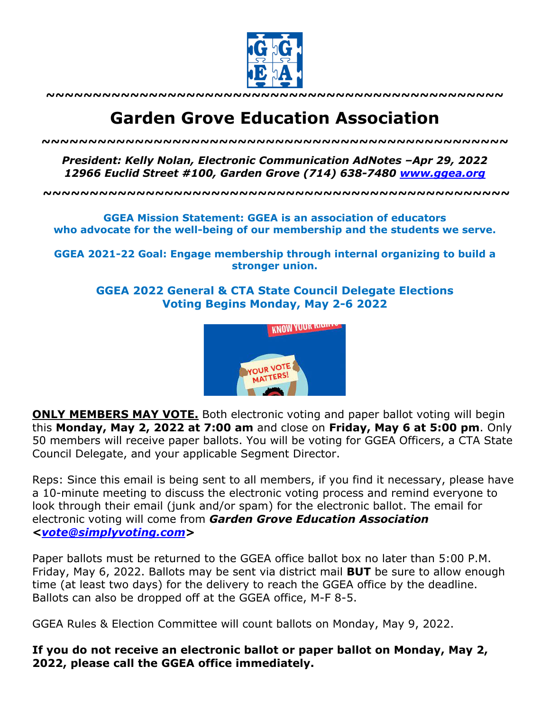

**~~~~~~~~~~~~~~~~~~~~~~~~~~~~~~~~~~~~~~~~~~~~~~~~~**

## **Garden Grove Education Association**

*~~~~~~~~~~~~~~~~~~~~~~~~~~~~~~~~~~~~~~~~~~~~~~~~~~*

*President: Kelly Nolan, Electronic Communication AdNotes –Apr 29, 2022 12966 Euclid Street #100, Garden Grove (714) 638-7480 www.ggea.org*

**~~~~~~~~~~~~~~~~~~~~~~~~~~~~~~~~~~~~~~~~~~~~~~~~~~**

**GGEA Mission Statement: GGEA is an association of educators who advocate for the well-being of our membership and the students we serve.**

**GGEA 2021-22 Goal: Engage membership through internal organizing to build a stronger union.**

**GGEA 2022 General & CTA State Council Delegate Elections Voting Begins Monday, May 2-6 2022**



**ONLY MEMBERS MAY VOTE.** Both electronic voting and paper ballot voting will begin this **Monday, May 2, 2022 at 7:00 am** and close on **Friday, May 6 at 5:00 pm**. Only 50 members will receive paper ballots. You will be voting for GGEA Officers, a CTA State Council Delegate, and your applicable Segment Director.

Reps: Since this email is being sent to all members, if you find it necessary, please have a 10-minute meeting to discuss the electronic voting process and remind everyone to look through their email (junk and/or spam) for the electronic ballot. The email for electronic voting will come from *Garden Grove Education Association <vote@simplyvoting.com>*

Paper ballots must be returned to the GGEA office ballot box no later than 5:00 P.M. Friday, May 6, 2022. Ballots may be sent via district mail **BUT** be sure to allow enough time (at least two days) for the delivery to reach the GGEA office by the deadline. Ballots can also be dropped off at the GGEA office, M-F 8-5.

GGEA Rules & Election Committee will count ballots on Monday, May 9, 2022.

**If you do not receive an electronic ballot or paper ballot on Monday, May 2, 2022, please call the GGEA office immediately.**